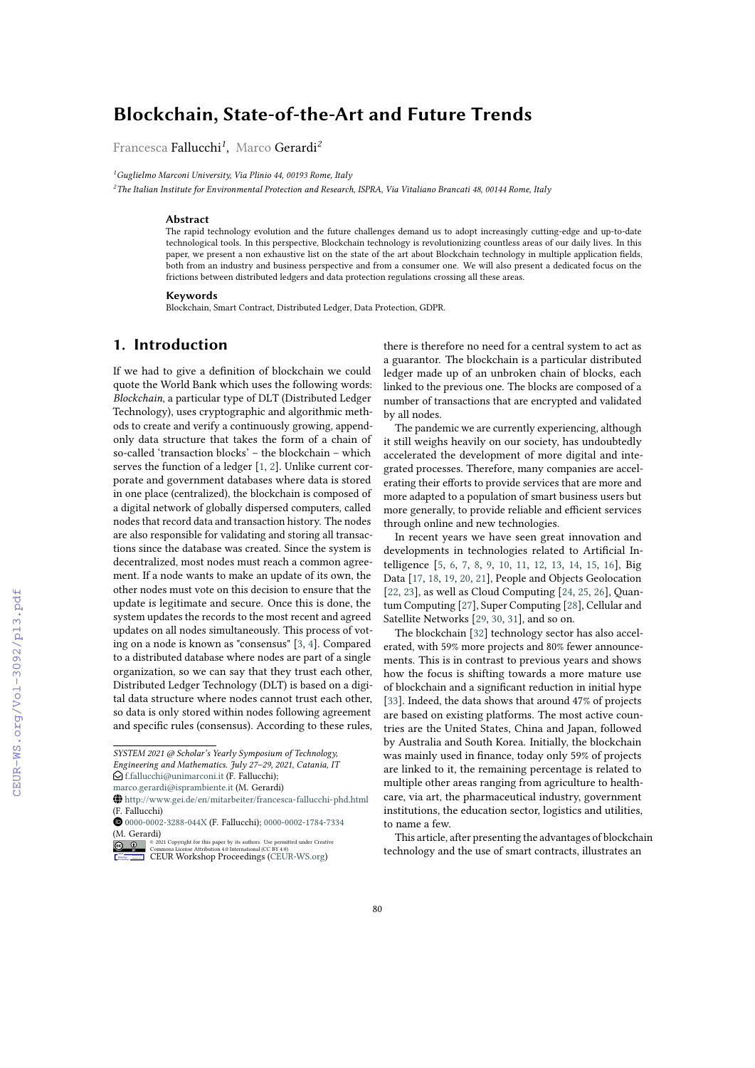# **Blockchain, State-of-the-Art and Future Trends**

Francesca Fallucchi*<sup>1</sup>* , Marco Gerardi*<sup>2</sup>*

*<sup>1</sup>Guglielmo Marconi University, Via Plinio 44, 00193 Rome, Italy*

*<sup>2</sup>The Italian Institute for Environmental Protection and Research, ISPRA, Via Vitaliano Brancati 48, 00144 Rome, Italy*

#### **Abstract**

The rapid technology evolution and the future challenges demand us to adopt increasingly cutting-edge and up-to-date technological tools. In this perspective, Blockchain technology is revolutionizing countless areas of our daily lives. In this paper, we present a non exhaustive list on the state of the art about Blockchain technology in multiple application fields, both from an industry and business perspective and from a consumer one. We will also present a dedicated focus on the frictions between distributed ledgers and data protection regulations crossing all these areas.

#### **Keywords**

Blockchain, Smart Contract, Distributed Ledger, Data Protection, GDPR.

## **1. Introduction**

If we had to give a definition of blockchain we could quote the World Bank which uses the following words: *Blockchain*, a particular type of DLT (Distributed Ledger Technology), uses cryptographic and algorithmic methods to create and verify a continuously growing, appendonly data structure that takes the form of a chain of so-called 'transaction blocks' – the blockchain – which serves the function of a ledger [\[1,](#page--1-0) [2\]](#page--1-1). Unlike current corporate and government databases where data is stored in one place (centralized), the blockchain is composed of a digital network of globally dispersed computers, called nodes that record data and transaction history. The nodes are also responsible for validating and storing all transactions since the database was created. Since the system is decentralized, most nodes must reach a common agreement. If a node wants to make an update of its own, the other nodes must vote on this decision to ensure that the update is legitimate and secure. Once this is done, the system updates the records to the most recent and agreed updates on all nodes simultaneously. This process of voting on a node is known as "consensus" [\[3,](#page--1-2) [4\]](#page--1-3). Compared to a distributed database where nodes are part of a single organization, so we can say that they trust each other, Distributed Ledger Technology (DLT) is based on a digital data structure where nodes cannot trust each other, so data is only stored within nodes following agreement and specific rules (consensus). According to these rules,

 $\bigcirc$  [f.fallucchi@unimarconi.it](mailto:f.fallucchi@unimarconi.it) (F. Fallucchi);

there is therefore no need for a central system to act as a guarantor. The blockchain is a particular distributed ledger made up of an unbroken chain of blocks, each linked to the previous one. The blocks are composed of a number of transactions that are encrypted and validated by all nodes.

The pandemic we are currently experiencing, although it still weighs heavily on our society, has undoubtedly accelerated the development of more digital and integrated processes. Therefore, many companies are accelerating their efforts to provide services that are more and more adapted to a population of smart business users but more generally, to provide reliable and efficient services through online and new technologies.

In recent years we have seen great innovation and developments in technologies related to Artificial Intelligence [\[5,](#page--1-4) [6,](#page--1-5) [7,](#page--1-6) [8,](#page--1-7) [9,](#page--1-8) [10,](#page--1-9) [11,](#page--1-10) [12,](#page--1-11) [13,](#page--1-12) [14,](#page--1-13) [15,](#page--1-14) [16\]](#page--1-15), Big Data [\[17,](#page--1-16) [18,](#page--1-17) [19,](#page--1-18) [20,](#page--1-19) [21\]](#page--1-20), People and Objects Geolocation [\[22,](#page--1-21) [23\]](#page--1-22), as well as Cloud Computing [\[24,](#page--1-23) [25,](#page--1-24) [26\]](#page--1-25), Quantum Computing [\[27\]](#page--1-26), Super Computing [\[28\]](#page--1-27), Cellular and Satellite Networks [\[29,](#page--1-28) [30,](#page--1-29) [31\]](#page--1-30), and so on.

The blockchain [\[32\]](#page--1-9) technology sector has also accelerated, with 59% more projects and 80% fewer announcements. This is in contrast to previous years and shows how the focus is shifting towards a more mature use of blockchain and a significant reduction in initial hype [\[33\]](#page--1-31). Indeed, the data shows that around 47% of projects are based on existing platforms. The most active countries are the United States, China and Japan, followed by Australia and South Korea. Initially, the blockchain was mainly used in finance, today only 59% of projects are linked to it, the remaining percentage is related to multiple other areas ranging from agriculture to healthcare, via art, the pharmaceutical industry, government institutions, the education sector, logistics and utilities, to name a few.

This article, after presenting the advantages of blockchain technology and the use of smart contracts, illustrates an

*SYSTEM 2021 @ Scholar's Yearly Symposium of Technology, Engineering and Mathematics. July 27–29, 2021, Catania, IT*

[marco.gerardi@isprambiente.it](mailto:marco.gerardi@isprambiente.it) (M. Gerardi)

 $\bigoplus$ <http://www.gei.de/en/mitarbeiter/francesca-fallucchi-phd.html> (F. Fallucchi)

[0000-0002-3288-044X](https://orcid.org/0000-0002-3288-044X) (F. Fallucchi); [0000-0002-1784-7334](https://orcid.org/0000-0002-1784-7334) (M. Gerardi)

**D** 2 2021 Commons License Attribution 4.0 line number of the surface permitted under Creative Commons License Attribution 4.0 International (CC BY 4.0).<br> [CEUR](https://creativecommons.org/licenses/by/4.0) Workshop [Proceedings](http://ceur-ws.org) [\(CEUR-WS.org\)](http://ceur-ws.org)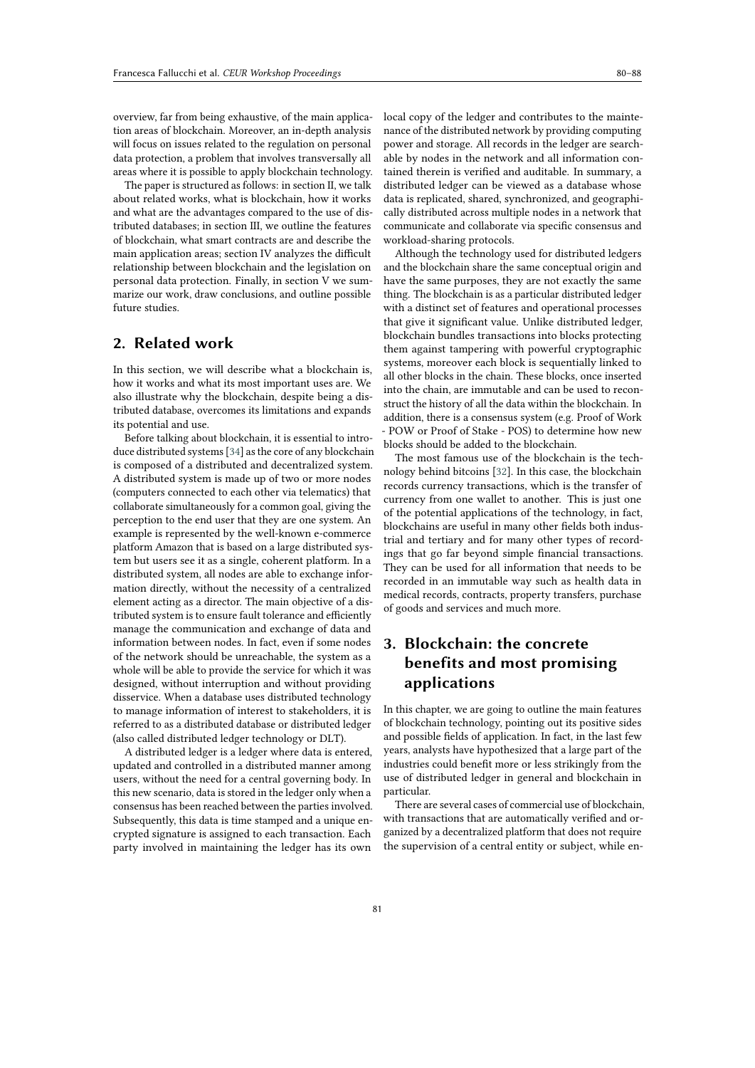overview, far from being exhaustive, of the main application areas of blockchain. Moreover, an in-depth analysis will focus on issues related to the regulation on personal data protection, a problem that involves transversally all areas where it is possible to apply blockchain technology.

The paper is structured as follows: in section II, we talk about related works, what is blockchain, how it works and what are the advantages compared to the use of distributed databases; in section III, we outline the features of blockchain, what smart contracts are and describe the main application areas; section IV analyzes the difficult relationship between blockchain and the legislation on personal data protection. Finally, in section V we summarize our work, draw conclusions, and outline possible future studies.

# **2. Related work**

In this section, we will describe what a blockchain is, how it works and what its most important uses are. We also illustrate why the blockchain, despite being a distributed database, overcomes its limitations and expands its potential and use.

Before talking about blockchain, it is essential to introduce distributed systems [\[34\]](#page-7-0) as the core of any blockchain is composed of a distributed and decentralized system. A distributed system is made up of two or more nodes (computers connected to each other via telematics) that collaborate simultaneously for a common goal, giving the perception to the end user that they are one system. An example is represented by the well-known e-commerce platform Amazon that is based on a large distributed system but users see it as a single, coherent platform. In a distributed system, all nodes are able to exchange information directly, without the necessity of a centralized element acting as a director. The main objective of a distributed system is to ensure fault tolerance and efficiently manage the communication and exchange of data and information between nodes. In fact, even if some nodes of the network should be unreachable, the system as a whole will be able to provide the service for which it was designed, without interruption and without providing disservice. When a database uses distributed technology to manage information of interest to stakeholders, it is referred to as a distributed database or distributed ledger (also called distributed ledger technology or DLT).

A distributed ledger is a ledger where data is entered, updated and controlled in a distributed manner among users, without the need for a central governing body. In this new scenario, data is stored in the ledger only when a consensus has been reached between the parties involved. Subsequently, this data is time stamped and a unique encrypted signature is assigned to each transaction. Each party involved in maintaining the ledger has its own

local copy of the ledger and contributes to the maintenance of the distributed network by providing computing power and storage. All records in the ledger are searchable by nodes in the network and all information contained therein is verified and auditable. In summary, a distributed ledger can be viewed as a database whose data is replicated, shared, synchronized, and geographically distributed across multiple nodes in a network that communicate and collaborate via specific consensus and workload-sharing protocols.

Although the technology used for distributed ledgers and the blockchain share the same conceptual origin and have the same purposes, they are not exactly the same thing. The blockchain is as a particular distributed ledger with a distinct set of features and operational processes that give it significant value. Unlike distributed ledger, blockchain bundles transactions into blocks protecting them against tampering with powerful cryptographic systems, moreover each block is sequentially linked to all other blocks in the chain. These blocks, once inserted into the chain, are immutable and can be used to reconstruct the history of all the data within the blockchain. In addition, there is a consensus system (e.g. Proof of Work - POW or Proof of Stake - POS) to determine how new blocks should be added to the blockchain.

The most famous use of the blockchain is the technology behind bitcoins [\[32\]](#page-7-1). In this case, the blockchain records currency transactions, which is the transfer of currency from one wallet to another. This is just one of the potential applications of the technology, in fact, blockchains are useful in many other fields both industrial and tertiary and for many other types of recordings that go far beyond simple financial transactions. They can be used for all information that needs to be recorded in an immutable way such as health data in medical records, contracts, property transfers, purchase of goods and services and much more.

# **3. Blockchain: the concrete benefits and most promising applications**

In this chapter, we are going to outline the main features of blockchain technology, pointing out its positive sides and possible fields of application. In fact, in the last few years, analysts have hypothesized that a large part of the industries could benefit more or less strikingly from the use of distributed ledger in general and blockchain in particular.

There are several cases of commercial use of blockchain, with transactions that are automatically verified and organized by a decentralized platform that does not require the supervision of a central entity or subject, while en-

81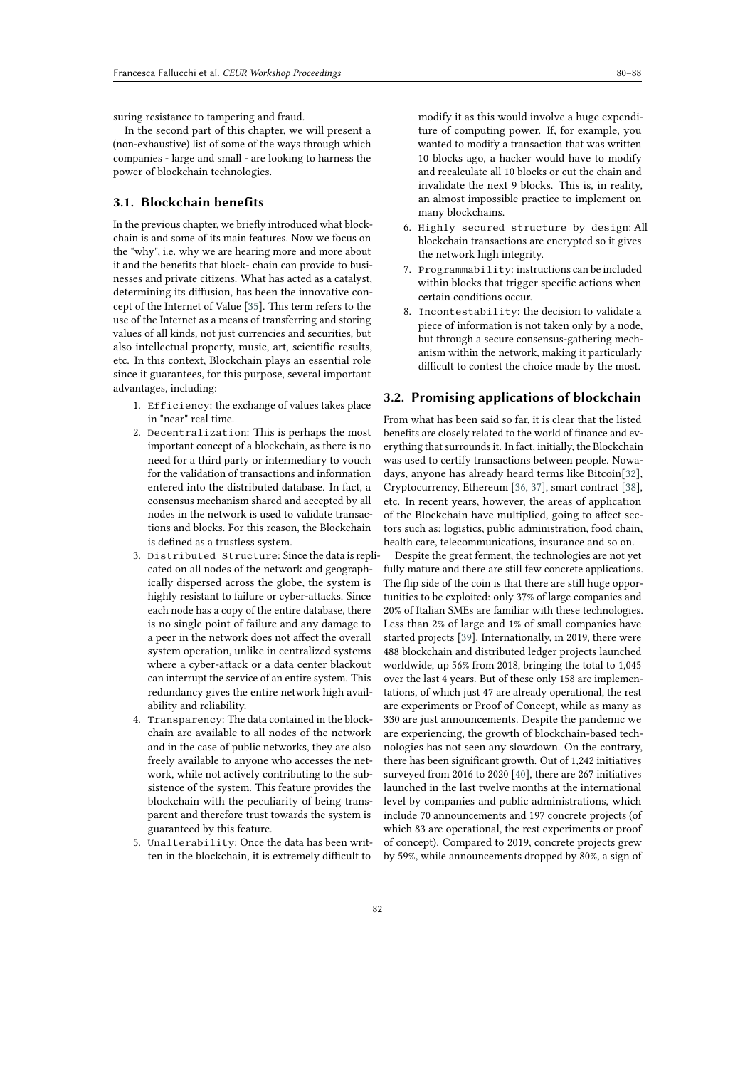suring resistance to tampering and fraud.

In the second part of this chapter, we will present a (non-exhaustive) list of some of the ways through which companies - large and small - are looking to harness the power of blockchain technologies.

### **3.1. Blockchain benefits**

In the previous chapter, we briefly introduced what blockchain is and some of its main features. Now we focus on the "why", i.e. why we are hearing more and more about it and the benefits that block- chain can provide to businesses and private citizens. What has acted as a catalyst, determining its diffusion, has been the innovative concept of the Internet of Value [\[35\]](#page-7-2). This term refers to the use of the Internet as a means of transferring and storing values of all kinds, not just currencies and securities, but also intellectual property, music, art, scientific results, etc. In this context, Blockchain plays an essential role since it guarantees, for this purpose, several important advantages, including:

- 1. Efficiency: the exchange of values takes place in "near" real time.
- 2. Decentralization: This is perhaps the most important concept of a blockchain, as there is no need for a third party or intermediary to vouch for the validation of transactions and information entered into the distributed database. In fact, a consensus mechanism shared and accepted by all nodes in the network is used to validate transactions and blocks. For this reason, the Blockchain is defined as a trustless system.
- 3. Distributed Structure: Since the data is replicated on all nodes of the network and geographically dispersed across the globe, the system is highly resistant to failure or cyber-attacks. Since each node has a copy of the entire database, there is no single point of failure and any damage to a peer in the network does not affect the overall system operation, unlike in centralized systems where a cyber-attack or a data center blackout can interrupt the service of an entire system. This redundancy gives the entire network high availability and reliability.
- 4. Transparency: The data contained in the blockchain are available to all nodes of the network and in the case of public networks, they are also freely available to anyone who accesses the network, while not actively contributing to the subsistence of the system. This feature provides the blockchain with the peculiarity of being transparent and therefore trust towards the system is guaranteed by this feature.
- 5. Unalterability: Once the data has been written in the blockchain, it is extremely difficult to

modify it as this would involve a huge expenditure of computing power. If, for example, you wanted to modify a transaction that was written 10 blocks ago, a hacker would have to modify and recalculate all 10 blocks or cut the chain and invalidate the next 9 blocks. This is, in reality, an almost impossible practice to implement on many blockchains.

- 6. Highly secured structure by design: All blockchain transactions are encrypted so it gives the network high integrity.
- 7. Programmability: instructions can be included within blocks that trigger specific actions when certain conditions occur.
- 8. Incontestability: the decision to validate a piece of information is not taken only by a node, but through a secure consensus-gathering mechanism within the network, making it particularly difficult to contest the choice made by the most.

#### **3.2. Promising applications of blockchain**

From what has been said so far, it is clear that the listed benefits are closely related to the world of finance and everything that surrounds it. In fact, initially, the Blockchain was used to certify transactions between people. Nowadays, anyone has already heard terms like Bitcoin[\[32\]](#page-7-1), Cryptocurrency, Ethereum [\[36,](#page-7-3) [37\]](#page-7-4), smart contract [\[38\]](#page-7-5), etc. In recent years, however, the areas of application of the Blockchain have multiplied, going to affect sectors such as: logistics, public administration, food chain, health care, telecommunications, insurance and so on.

Despite the great ferment, the technologies are not yet fully mature and there are still few concrete applications. The flip side of the coin is that there are still huge opportunities to be exploited: only 37% of large companies and 20% of Italian SMEs are familiar with these technologies. Less than 2% of large and 1% of small companies have started projects [\[39\]](#page-8-0). Internationally, in 2019, there were 488 blockchain and distributed ledger projects launched worldwide, up 56% from 2018, bringing the total to 1,045 over the last 4 years. But of these only 158 are implementations, of which just 47 are already operational, the rest are experiments or Proof of Concept, while as many as 330 are just announcements. Despite the pandemic we are experiencing, the growth of blockchain-based technologies has not seen any slowdown. On the contrary, there has been significant growth. Out of 1,242 initiatives surveyed from 2016 to 2020 [\[40\]](#page-8-1), there are 267 initiatives launched in the last twelve months at the international level by companies and public administrations, which include 70 announcements and 197 concrete projects (of which 83 are operational, the rest experiments or proof of concept). Compared to 2019, concrete projects grew by 59%, while announcements dropped by 80%, a sign of

82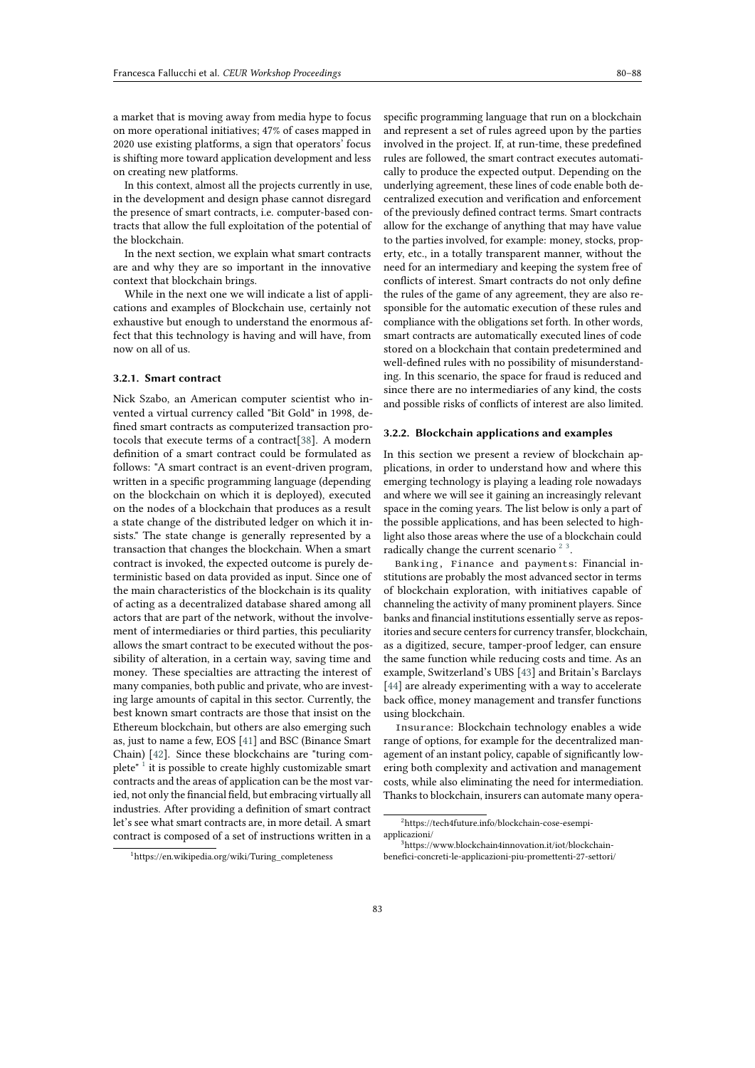a market that is moving away from media hype to focus on more operational initiatives; 47% of cases mapped in 2020 use existing platforms, a sign that operators' focus is shifting more toward application development and less on creating new platforms.

In this context, almost all the projects currently in use, in the development and design phase cannot disregard the presence of smart contracts, i.e. computer-based contracts that allow the full exploitation of the potential of the blockchain.

In the next section, we explain what smart contracts are and why they are so important in the innovative context that blockchain brings.

While in the next one we will indicate a list of applications and examples of Blockchain use, certainly not exhaustive but enough to understand the enormous affect that this technology is having and will have, from now on all of us.

#### **3.2.1. Smart contract**

Nick Szabo, an American computer scientist who invented a virtual currency called "Bit Gold" in 1998, defined smart contracts as computerized transaction protocols that execute terms of a contract[\[38\]](#page-7-5). A modern definition of a smart contract could be formulated as follows: "A smart contract is an event-driven program, written in a specific programming language (depending on the blockchain on which it is deployed), executed on the nodes of a blockchain that produces as a result a state change of the distributed ledger on which it insists." The state change is generally represented by a transaction that changes the blockchain. When a smart contract is invoked, the expected outcome is purely deterministic based on data provided as input. Since one of the main characteristics of the blockchain is its quality of acting as a decentralized database shared among all actors that are part of the network, without the involvement of intermediaries or third parties, this peculiarity allows the smart contract to be executed without the possibility of alteration, in a certain way, saving time and money. These specialties are attracting the interest of many companies, both public and private, who are investing large amounts of capital in this sector. Currently, the best known smart contracts are those that insist on the Ethereum blockchain, but others are also emerging such as, just to name a few, EOS [\[41\]](#page-8-2) and BSC (Binance Smart Chain) [\[42\]](#page-8-3). Since these blockchains are "turing com-plete"<sup>[1](#page-3-0)</sup> it is possible to create highly customizable smart contracts and the areas of application can be the most varied, not only the financial field, but embracing virtually all industries. After providing a definition of smart contract let's see what smart contracts are, in more detail. A smart contract is composed of a set of instructions written in a

specific programming language that run on a blockchain and represent a set of rules agreed upon by the parties involved in the project. If, at run-time, these predefined rules are followed, the smart contract executes automatically to produce the expected output. Depending on the underlying agreement, these lines of code enable both decentralized execution and verification and enforcement of the previously defined contract terms. Smart contracts allow for the exchange of anything that may have value to the parties involved, for example: money, stocks, property, etc., in a totally transparent manner, without the need for an intermediary and keeping the system free of conflicts of interest. Smart contracts do not only define the rules of the game of any agreement, they are also responsible for the automatic execution of these rules and compliance with the obligations set forth. In other words, smart contracts are automatically executed lines of code stored on a blockchain that contain predetermined and well-defined rules with no possibility of misunderstanding. In this scenario, the space for fraud is reduced and since there are no intermediaries of any kind, the costs and possible risks of conflicts of interest are also limited.

#### **3.2.2. Blockchain applications and examples**

In this section we present a review of blockchain applications, in order to understand how and where this emerging technology is playing a leading role nowadays and where we will see it gaining an increasingly relevant space in the coming years. The list below is only a part of the possible applications, and has been selected to highlight also those areas where the use of a blockchain could radically change the current scenario  $2^3$  $2^3$  $2^3$ .

Banking, Finance and payments: Financial institutions are probably the most advanced sector in terms of blockchain exploration, with initiatives capable of channeling the activity of many prominent players. Since banks and financial institutions essentially serve as repositories and secure centers for currency transfer, blockchain, as a digitized, secure, tamper-proof ledger, can ensure the same function while reducing costs and time. As an example, Switzerland's UBS [\[43\]](#page-8-4) and Britain's Barclays [\[44\]](#page-8-5) are already experimenting with a way to accelerate back office, money management and transfer functions using blockchain.

Insurance: Blockchain technology enables a wide range of options, for example for the decentralized management of an instant policy, capable of significantly lowering both complexity and activation and management costs, while also eliminating the need for intermediation. Thanks to blockchain, insurers can automate many opera-

<span id="page-3-1"></span><sup>2</sup>https://tech4future.info/blockchain-cose-esempiapplicazioni/

<span id="page-3-2"></span><sup>3</sup>https://www.blockchain4innovation.it/iot/blockchainbenefici-concreti-le-applicazioni-piu-promettenti-27-settori/

<span id="page-3-0"></span><sup>1</sup>https://en.wikipedia.org/wiki/Turing\_completeness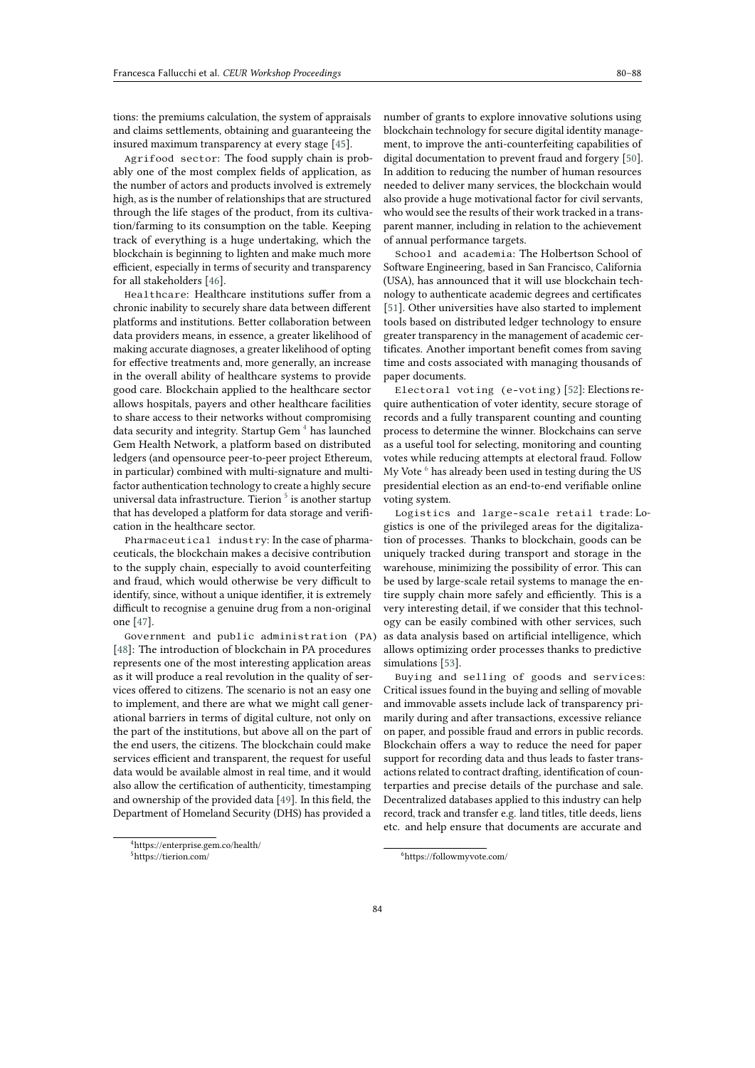tions: the premiums calculation, the system of appraisals and claims settlements, obtaining and guaranteeing the insured maximum transparency at every stage [\[45\]](#page-8-6).

Agrifood sector: The food supply chain is probably one of the most complex fields of application, as the number of actors and products involved is extremely high, as is the number of relationships that are structured through the life stages of the product, from its cultivation/farming to its consumption on the table. Keeping track of everything is a huge undertaking, which the blockchain is beginning to lighten and make much more efficient, especially in terms of security and transparency for all stakeholders [\[46\]](#page-8-7).

Healthcare: Healthcare institutions suffer from a chronic inability to securely share data between different platforms and institutions. Better collaboration between data providers means, in essence, a greater likelihood of making accurate diagnoses, a greater likelihood of opting for effective treatments and, more generally, an increase in the overall ability of healthcare systems to provide good care. Blockchain applied to the healthcare sector allows hospitals, payers and other healthcare facilities to share access to their networks without compromising data security and integrity. Startup Gem<sup>[4](#page-4-0)</sup> has launched Gem Health Network, a platform based on distributed ledgers (and opensource peer-to-peer project Ethereum, in particular) combined with multi-signature and multifactor authentication technology to create a highly secure universal data infrastructure. Tierion  $^5$  $^5$  is another startup that has developed a platform for data storage and verification in the healthcare sector.

Pharmaceutical industry: In the case of pharmaceuticals, the blockchain makes a decisive contribution to the supply chain, especially to avoid counterfeiting and fraud, which would otherwise be very difficult to identify, since, without a unique identifier, it is extremely difficult to recognise a genuine drug from a non-original one [\[47\]](#page-8-8).

Government and public administration (PA) [\[48\]](#page-8-9): The introduction of blockchain in PA procedures represents one of the most interesting application areas as it will produce a real revolution in the quality of services offered to citizens. The scenario is not an easy one to implement, and there are what we might call generational barriers in terms of digital culture, not only on the part of the institutions, but above all on the part of the end users, the citizens. The blockchain could make services efficient and transparent, the request for useful data would be available almost in real time, and it would also allow the certification of authenticity, timestamping and ownership of the provided data [\[49\]](#page-8-10). In this field, the Department of Homeland Security (DHS) has provided a

number of grants to explore innovative solutions using blockchain technology for secure digital identity management, to improve the anti-counterfeiting capabilities of digital documentation to prevent fraud and forgery [\[50\]](#page-8-11). In addition to reducing the number of human resources needed to deliver many services, the blockchain would also provide a huge motivational factor for civil servants, who would see the results of their work tracked in a transparent manner, including in relation to the achievement of annual performance targets.

School and academia: The Holbertson School of Software Engineering, based in San Francisco, California (USA), has announced that it will use blockchain technology to authenticate academic degrees and certificates [\[51\]](#page-8-12). Other universities have also started to implement tools based on distributed ledger technology to ensure greater transparency in the management of academic certificates. Another important benefit comes from saving time and costs associated with managing thousands of paper documents.

Electoral voting (e-voting) [\[52\]](#page-8-13): Elections require authentication of voter identity, secure storage of records and a fully transparent counting and counting process to determine the winner. Blockchains can serve as a useful tool for selecting, monitoring and counting votes while reducing attempts at electoral fraud. Follow My Vote $^6$  $^6$  has already been used in testing during the US  $\,$ presidential election as an end-to-end verifiable online voting system.

Logistics and large-scale retail trade: Logistics is one of the privileged areas for the digitalization of processes. Thanks to blockchain, goods can be uniquely tracked during transport and storage in the warehouse, minimizing the possibility of error. This can be used by large-scale retail systems to manage the entire supply chain more safely and efficiently. This is a very interesting detail, if we consider that this technology can be easily combined with other services, such as data analysis based on artificial intelligence, which allows optimizing order processes thanks to predictive simulations [\[53\]](#page-8-14).

Buying and selling of goods and services: Critical issues found in the buying and selling of movable and immovable assets include lack of transparency primarily during and after transactions, excessive reliance on paper, and possible fraud and errors in public records. Blockchain offers a way to reduce the need for paper support for recording data and thus leads to faster transactions related to contract drafting, identification of counterparties and precise details of the purchase and sale. Decentralized databases applied to this industry can help record, track and transfer e.g. land titles, title deeds, liens etc. and help ensure that documents are accurate and

<span id="page-4-1"></span><span id="page-4-0"></span><sup>4</sup>https://enterprise.gem.co/health/ <sup>5</sup>https://tierion.com/

<span id="page-4-2"></span><sup>6</sup>https://followmyvote.com/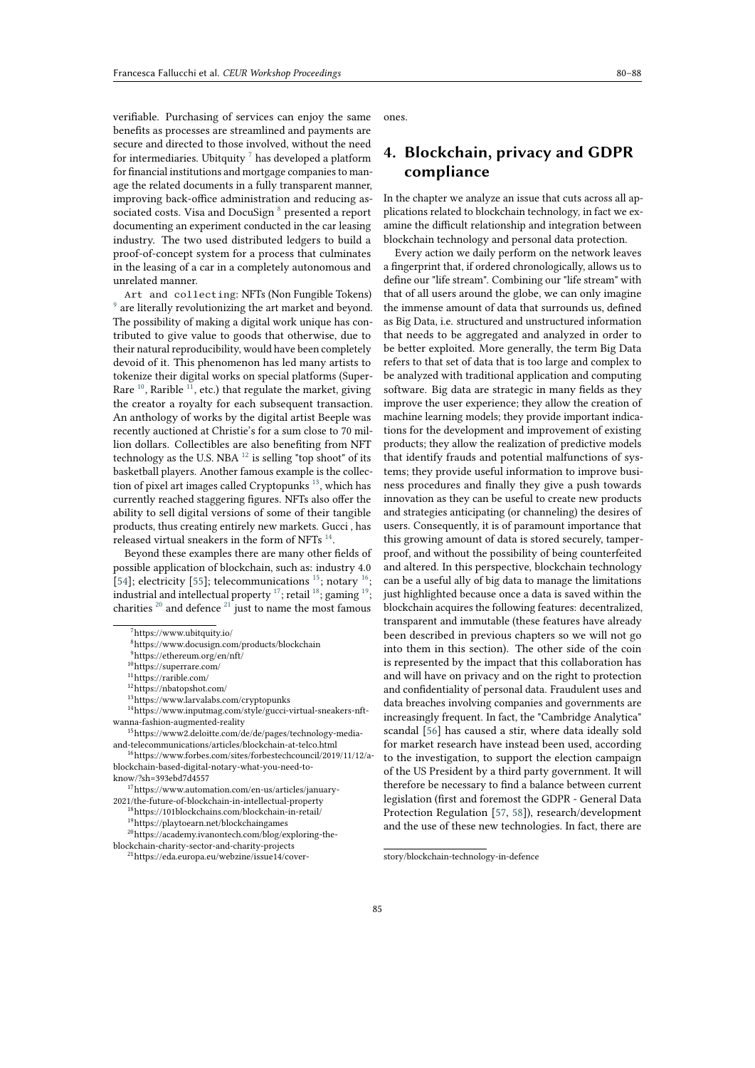verifiable. Purchasing of services can enjoy the same benefits as processes are streamlined and payments are secure and directed to those involved, without the need for intermediaries. Ubitquity  $^7$  $^7$  has developed a platform for financial institutions and mortgage companies to manage the related documents in a fully transparent manner, improving back-office administration and reducing as-sociated costs. Visa and DocuSign<sup>[8](#page-5-1)</sup> presented a report documenting an experiment conducted in the car leasing industry. The two used distributed ledgers to build a proof-of-concept system for a process that culminates in the leasing of a car in a completely autonomous and unrelated manner.

Art and collecting: NFTs (Non Fungible Tokens) [9](#page-5-2) are literally revolutionizing the art market and beyond. The possibility of making a digital work unique has contributed to give value to goods that otherwise, due to their natural reproducibility, would have been completely devoid of it. This phenomenon has led many artists to tokenize their digital works on special platforms (Super-Rare  $^{10}$  $^{10}$  $^{10}$ , Rarible  $^{11}$  $^{11}$  $^{11}$ , etc.) that regulate the market, giving the creator a royalty for each subsequent transaction. An anthology of works by the digital artist Beeple was recently auctioned at Christie's for a sum close to 70 million dollars. Collectibles are also benefiting from NFT technology as the U.S. NBA  $^{12}$  $^{12}$  $^{12}$  is selling "top shoot" of its basketball players. Another famous example is the collec-tion of pixel art images called Cryptopunks<sup>[13](#page-5-6)</sup>, which has currently reached staggering figures. NFTs also offer the ability to sell digital versions of some of their tangible products, thus creating entirely new markets. Gucci , has released virtual sneakers in the form of NFTs  $^{\rm 14}.$  $^{\rm 14}.$  $^{\rm 14}.$ 

Beyond these examples there are many other fields of possible application of blockchain, such as: industry 4.0 [\[54\]](#page-8-15); electricity [\[55\]](#page-8-16); telecommunications  $^{15}$  $^{15}$  $^{15}$ ; notary  $^{16}$  $^{16}$  $^{16}$ ; industrial and intellectual property  $^{17}$  $^{17}$  $^{17}$ ; retail  $^{18}$  $^{18}$  $^{18}$ ; gaming  $^{19}$  $^{19}$  $^{19}$ ; charities  $20$  and defence  $21$  just to name the most famous

<span id="page-5-5"></span><sup>12</sup>https://nbatopshot.com/

<sup>14</sup>https://www.inputmag.com/style/gucci-virtual-sneakers-nftwanna-fashion-augmented-reality

<span id="page-5-8"></span><sup>15</sup>https://www2.deloitte.com/de/de/pages/technology-mediaand-telecommunications/articles/blockchain-at-telco.html

<span id="page-5-9"></span><sup>16</sup>https://www.forbes.com/sites/forbestechcouncil/2019/11/12/ablockchain-based-digital-notary-what-you-need-toknow/?sh=393ebd7d4557

<span id="page-5-10"></span><sup>17</sup>https://www.automation.com/en-us/articles/january-

2021/the-future-of-blockchain-in-intellectual-property <sup>18</sup>https://101blockchains.com/blockchain-in-retail/

<span id="page-5-13"></span><span id="page-5-12"></span><span id="page-5-11"></span><sup>19</sup>https://playtoearn.net/blockchaingames

<sup>20</sup>https://academy.ivanontech.com/blog/exploring-theblockchain-charity-sector-and-charity-projects

<span id="page-5-14"></span><sup>21</sup>https://eda.europa.eu/webzine/issue14/cover-

ones.

# **4. Blockchain, privacy and GDPR compliance**

In the chapter we analyze an issue that cuts across all applications related to blockchain technology, in fact we examine the difficult relationship and integration between blockchain technology and personal data protection.

Every action we daily perform on the network leaves a fingerprint that, if ordered chronologically, allows us to define our "life stream". Combining our "life stream" with that of all users around the globe, we can only imagine the immense amount of data that surrounds us, defined as Big Data, i.e. structured and unstructured information that needs to be aggregated and analyzed in order to be better exploited. More generally, the term Big Data refers to that set of data that is too large and complex to be analyzed with traditional application and computing software. Big data are strategic in many fields as they improve the user experience; they allow the creation of machine learning models; they provide important indications for the development and improvement of existing products; they allow the realization of predictive models that identify frauds and potential malfunctions of systems; they provide useful information to improve business procedures and finally they give a push towards innovation as they can be useful to create new products and strategies anticipating (or channeling) the desires of users. Consequently, it is of paramount importance that this growing amount of data is stored securely, tamperproof, and without the possibility of being counterfeited and altered. In this perspective, blockchain technology can be a useful ally of big data to manage the limitations just highlighted because once a data is saved within the blockchain acquires the following features: decentralized, transparent and immutable (these features have already been described in previous chapters so we will not go into them in this section). The other side of the coin is represented by the impact that this collaboration has and will have on privacy and on the right to protection and confidentiality of personal data. Fraudulent uses and data breaches involving companies and governments are increasingly frequent. In fact, the "Cambridge Analytica" scandal [\[56\]](#page-8-17) has caused a stir, where data ideally sold for market research have instead been used, according to the investigation, to support the election campaign of the US President by a third party government. It will therefore be necessary to find a balance between current legislation (first and foremost the GDPR - General Data Protection Regulation [\[57,](#page-8-18) [58\]](#page-8-19)), research/development and the use of these new technologies. In fact, there are

<span id="page-5-0"></span><sup>7</sup>https://www.ubitquity.io/

<span id="page-5-1"></span><sup>8</sup>https://www.docusign.com/products/blockchain

<span id="page-5-2"></span><sup>9</sup>https://ethereum.org/en/nft/

<span id="page-5-3"></span> $10$  https://superrare.com/  $\,$ 

<span id="page-5-4"></span> $\frac{11}{11}$ https://rarible.com/

<span id="page-5-7"></span><span id="page-5-6"></span><sup>13</sup>https://www.larvalabs.com/cryptopunks

story/blockchain-technology-in-defence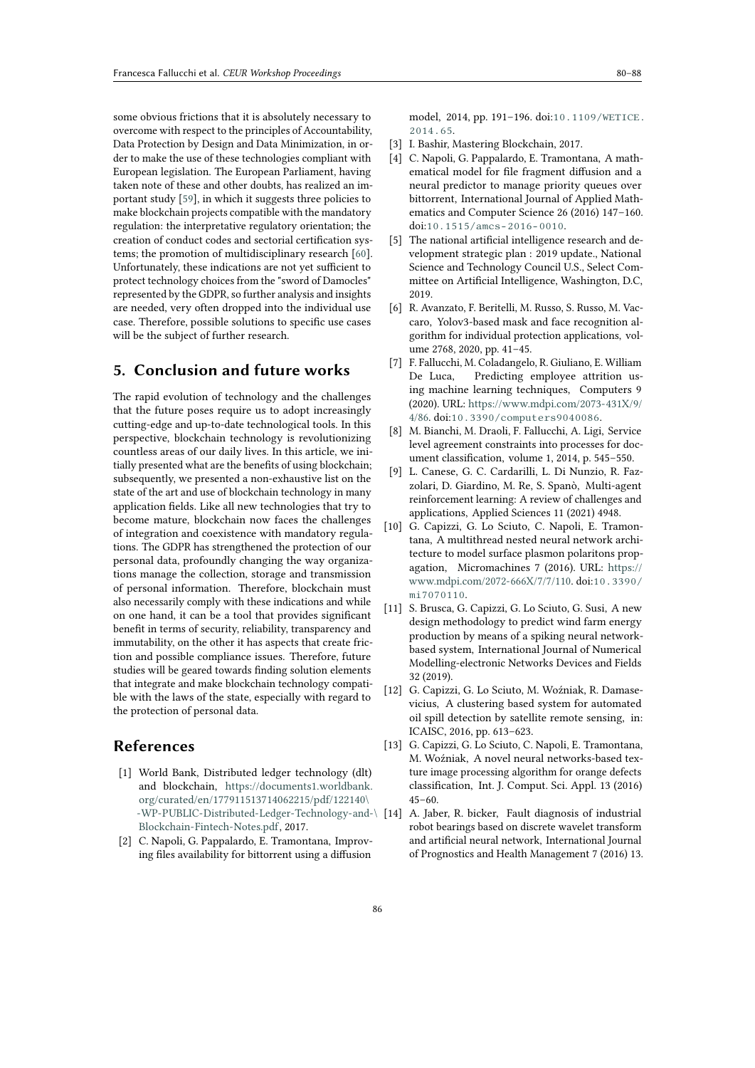some obvious frictions that it is absolutely necessary to overcome with respect to the principles of Accountability, Data Protection by Design and Data Minimization, in order to make the use of these technologies compliant with European legislation. The European Parliament, having taken note of these and other doubts, has realized an important study [\[59\]](#page-8-20), in which it suggests three policies to make blockchain projects compatible with the mandatory regulation: the interpretative regulatory orientation; the creation of conduct codes and sectorial certification systems; the promotion of multidisciplinary research [\[60\]](#page-8-21). Unfortunately, these indications are not yet sufficient to protect technology choices from the "sword of Damocles" represented by the GDPR, so further analysis and insights are needed, very often dropped into the individual use case. Therefore, possible solutions to specific use cases will be the subject of further research.

## **5. Conclusion and future works**

The rapid evolution of technology and the challenges that the future poses require us to adopt increasingly cutting-edge and up-to-date technological tools. In this perspective, blockchain technology is revolutionizing countless areas of our daily lives. In this article, we initially presented what are the benefits of using blockchain; subsequently, we presented a non-exhaustive list on the state of the art and use of blockchain technology in many application fields. Like all new technologies that try to become mature, blockchain now faces the challenges of integration and coexistence with mandatory regulations. The GDPR has strengthened the protection of our personal data, profoundly changing the way organizations manage the collection, storage and transmission of personal information. Therefore, blockchain must also necessarily comply with these indications and while on one hand, it can be a tool that provides significant benefit in terms of security, reliability, transparency and immutability, on the other it has aspects that create friction and possible compliance issues. Therefore, future studies will be geared towards finding solution elements that integrate and make blockchain technology compatible with the laws of the state, especially with regard to the protection of personal data.

## **References**

- [1] World Bank, Distributed ledger technology (dlt) and blockchain, [https://documents1.worldbank.](https://documents1.worldbank.org/curated/en/177911513714062215/pdf/122140\ -WP-PUBLIC-Distributed-Ledger-Technology-and-\Blockchain-Fintech-Notes.pdf) [org/curated/en/177911513714062215/pdf/122140\](https://documents1.worldbank.org/curated/en/177911513714062215/pdf/122140\ -WP-PUBLIC-Distributed-Ledger-Technology-and-\Blockchain-Fintech-Notes.pdf) [-WP-PUBLIC-Distributed-Ledger-Technology-and-](https://documents1.worldbank.org/curated/en/177911513714062215/pdf/122140\ -WP-PUBLIC-Distributed-Ledger-Technology-and-\Blockchain-Fintech-Notes.pdf)\ [Blockchain-Fintech-Notes.pdf,](https://documents1.worldbank.org/curated/en/177911513714062215/pdf/122140\ -WP-PUBLIC-Distributed-Ledger-Technology-and-\Blockchain-Fintech-Notes.pdf) 2017.
- [2] C. Napoli, G. Pappalardo, E. Tramontana, Improving files availability for bittorrent using a diffusion

model, 2014, pp. 191–196. doi:[10.1109/WETICE.](http://dx.doi.org/10.1109/WETICE.2014.65) [2014.65](http://dx.doi.org/10.1109/WETICE.2014.65).

- [3] I. Bashir, Mastering Blockchain, 2017.
- [4] C. Napoli, G. Pappalardo, E. Tramontana, A mathematical model for file fragment diffusion and a neural predictor to manage priority queues over bittorrent, International Journal of Applied Mathematics and Computer Science 26 (2016) 147–160. doi:[10.1515/amcs-2016-0010](http://dx.doi.org/10.1515/amcs-2016-0010).
- [5] The national artificial intelligence research and development strategic plan : 2019 update., National Science and Technology Council U.S., Select Committee on Artificial Intelligence, Washington, D.C, 2019.
- [6] R. Avanzato, F. Beritelli, M. Russo, S. Russo, M. Vaccaro, Yolov3-based mask and face recognition algorithm for individual protection applications, volume 2768, 2020, pp. 41–45.
- [7] F. Fallucchi, M. Coladangelo, R. Giuliano, E. William De Luca, Predicting employee attrition using machine learning techniques, Computers 9 (2020). URL: [https://www.mdpi.com/2073-431X/9/](https://www.mdpi.com/2073-431X/9/4/86) [4/86.](https://www.mdpi.com/2073-431X/9/4/86) doi:[10.3390/computers9040086](http://dx.doi.org/10.3390/computers9040086).
- [8] M. Bianchi, M. Draoli, F. Fallucchi, A. Ligi, Service level agreement constraints into processes for document classification, volume 1, 2014, p. 545–550.
- [9] L. Canese, G. C. Cardarilli, L. Di Nunzio, R. Fazzolari, D. Giardino, M. Re, S. Spanò, Multi-agent reinforcement learning: A review of challenges and applications, Applied Sciences 11 (2021) 4948.
- [10] G. Capizzi, G. Lo Sciuto, C. Napoli, E. Tramontana, A multithread nested neural network architecture to model surface plasmon polaritons propagation, Micromachines 7 (2016). URL: [https://](https://www.mdpi.com/2072-666X/7/7/110) [www.mdpi.com/2072-666X/7/7/110.](https://www.mdpi.com/2072-666X/7/7/110) doi:[10.3390/](http://dx.doi.org/10.3390/mi7070110) [mi7070110](http://dx.doi.org/10.3390/mi7070110).
- [11] S. Brusca, G. Capizzi, G. Lo Sciuto, G. Susi, A new design methodology to predict wind farm energy production by means of a spiking neural networkbased system, International Journal of Numerical Modelling-electronic Networks Devices and Fields 32 (2019).
- [12] G. Capizzi, G. Lo Sciuto, M. Woźniak, R. Damasevicius, A clustering based system for automated oil spill detection by satellite remote sensing, in: ICAISC, 2016, pp. 613–623.
- [13] G. Capizzi, G. Lo Sciuto, C. Napoli, E. Tramontana, M. Woźniak, A novel neural networks-based texture image processing algorithm for orange defects classification, Int. J. Comput. Sci. Appl. 13 (2016) 45–60.
- A. Jaber, R. bicker, Fault diagnosis of industrial robot bearings based on discrete wavelet transform and artificial neural network, International Journal of Prognostics and Health Management 7 (2016) 13.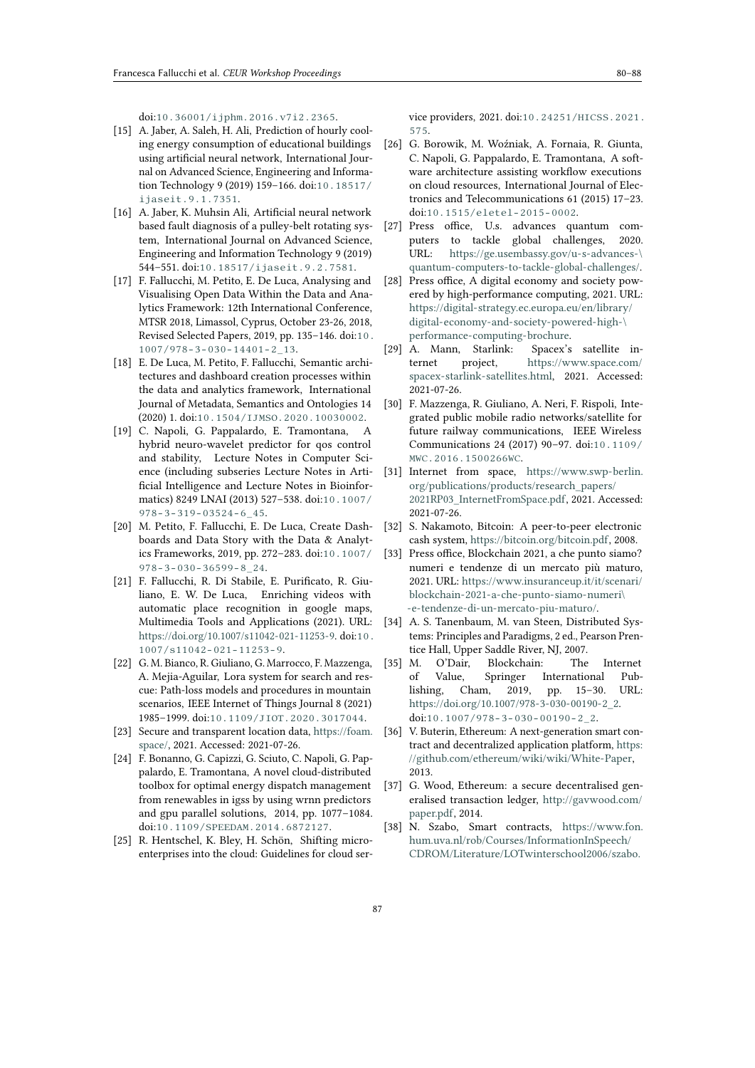doi:[10.36001/ijphm.2016.v7i2.2365](http://dx.doi.org/10.36001/ijphm.2016.v7i2.2365).

- [15] A. Jaber, A. Saleh, H. Ali, Prediction of hourly cooling energy consumption of educational buildings using artificial neural network, International Journal on Advanced Science, Engineering and Information Technology 9 (2019) 159–166. doi:[10.18517/](http://dx.doi.org/10.18517/ijaseit.9.1.7351) [ijaseit.9.1.7351](http://dx.doi.org/10.18517/ijaseit.9.1.7351).
- [16] A. Jaber, K. Muhsin Ali, Artificial neural network based fault diagnosis of a pulley-belt rotating system, International Journal on Advanced Science, Engineering and Information Technology 9 (2019) 544–551. doi:[10.18517/ijaseit.9.2.7581](http://dx.doi.org/10.18517/ijaseit.9.2.7581).
- [17] F. Fallucchi, M. Petito, E. De Luca, Analysing and Visualising Open Data Within the Data and Analytics Framework: 12th International Conference, MTSR 2018, Limassol, Cyprus, October 23-26, 2018, Revised Selected Papers, 2019, pp. 135–146. doi:[10.](http://dx.doi.org/10.1007/978-3-030-14401-2_13) [1007/978-3-030-14401-2\\_13](http://dx.doi.org/10.1007/978-3-030-14401-2_13).
- [18] E. De Luca, M. Petito, F. Fallucchi, Semantic architectures and dashboard creation processes within the data and analytics framework, International Journal of Metadata, Semantics and Ontologies 14 (2020) 1. doi:[10.1504/IJMSO.2020.10030002](http://dx.doi.org/10.1504/IJMSO.2020.10030002).
- [19] C. Napoli, G. Pappalardo, E. Tramontana, A hybrid neuro-wavelet predictor for qos control and stability, Lecture Notes in Computer Science (including subseries Lecture Notes in Artificial Intelligence and Lecture Notes in Bioinformatics) 8249 LNAI (2013) 527–538. doi:[10.1007/](http://dx.doi.org/10.1007/978-3-319-03524-6_45) [978-3-319-03524-6\\_45](http://dx.doi.org/10.1007/978-3-319-03524-6_45).
- [20] M. Petito, F. Fallucchi, E. De Luca, Create Dashboards and Data Story with the Data & Analytics Frameworks, 2019, pp. 272–283. doi:[10.1007/](http://dx.doi.org/10.1007/978-3-030-36599-8_24) [978-3-030-36599-8\\_24](http://dx.doi.org/10.1007/978-3-030-36599-8_24).
- [21] F. Fallucchi, R. Di Stabile, E. Purificato, R. Giuliano, E. W. De Luca, Enriching videos with automatic place recognition in google maps, Multimedia Tools and Applications (2021). URL: [https://doi.org/10.1007/s11042-021-11253-9.](https://doi.org/10.1007/s11042-021-11253-9) doi:[10.](http://dx.doi.org/10.1007/s11042-021-11253-9) [1007/s11042-021-11253-9](http://dx.doi.org/10.1007/s11042-021-11253-9).
- [22] G. M. Bianco, R. Giuliano, G. Marrocco, F. Mazzenga, A. Mejia-Aguilar, Lora system for search and rescue: Path-loss models and procedures in mountain scenarios, IEEE Internet of Things Journal 8 (2021) 1985–1999. doi:[10.1109/JIOT.2020.3017044](http://dx.doi.org/10.1109/JIOT.2020.3017044).
- [23] Secure and transparent location data, [https://foam.](https://foam.space/) [space/,](https://foam.space/) 2021. Accessed: 2021-07-26.
- [24] F. Bonanno, G. Capizzi, G. Sciuto, C. Napoli, G. Pappalardo, E. Tramontana, A novel cloud-distributed toolbox for optimal energy dispatch management from renewables in igss by using wrnn predictors and gpu parallel solutions, 2014, pp. 1077–1084. doi:[10.1109/SPEEDAM.2014.6872127](http://dx.doi.org/10.1109/SPEEDAM.2014.6872127).
- [25] R. Hentschel, K. Bley, H. Schön, Shifting microenterprises into the cloud: Guidelines for cloud ser-

vice providers, 2021. doi:[10.24251/HICSS.2021.](http://dx.doi.org/10.24251/HICSS.2021.575) [575](http://dx.doi.org/10.24251/HICSS.2021.575).

- [26] G. Borowik, M. Woźniak, A. Fornaia, R. Giunta, C. Napoli, G. Pappalardo, E. Tramontana, A software architecture assisting workflow executions on cloud resources, International Journal of Electronics and Telecommunications 61 (2015) 17–23. doi:[10.1515/eletel-2015-0002](http://dx.doi.org/10.1515/eletel-2015-0002).
- [27] Press office, U.s. advances quantum computers to tackle global challenges, 2020. URL: [https://ge.usembassy.gov/u-s-advances-\](https://ge.usembassy.gov/u-s-advances-\quantum-computers-to-tackle-global-challenges/) [quantum-computers-to-tackle-global-challenges/.](https://ge.usembassy.gov/u-s-advances-\quantum-computers-to-tackle-global-challenges/)
- [28] Press office, A digital economy and society powered by high-performance computing, 2021. URL: [https://digital-strategy.ec.europa.eu/en/library/](https://digital-strategy.ec.europa.eu/en/library/digital-economy-and-society-powered-high-\performance-computing-brochure) [digital-economy-and-society-powered-high-\](https://digital-strategy.ec.europa.eu/en/library/digital-economy-and-society-powered-high-\performance-computing-brochure) [performance-computing-brochure.](https://digital-strategy.ec.europa.eu/en/library/digital-economy-and-society-powered-high-\performance-computing-brochure)
- [29] A. Mann, Starlink: Spacex's satellite internet project, [https://www.space.com/](https://www.space.com/spacex-starlink-satellites.html) [spacex-starlink-satellites.html,](https://www.space.com/spacex-starlink-satellites.html) 2021. Accessed: 2021-07-26.
- [30] F. Mazzenga, R. Giuliano, A. Neri, F. Rispoli, Integrated public mobile radio networks/satellite for future railway communications, IEEE Wireless Communications 24 (2017) 90–97. doi:[10.1109/](http://dx.doi.org/10.1109/MWC.2016.1500266WC) [MWC.2016.1500266WC](http://dx.doi.org/10.1109/MWC.2016.1500266WC).
- [31] Internet from space, [https://www.swp-berlin.](https://www.swp-berlin.org/publications/products/research_papers/2021RP03_InternetFromSpace.pdf) [org/publications/products/research\\_papers/](https://www.swp-berlin.org/publications/products/research_papers/2021RP03_InternetFromSpace.pdf) [2021RP03\\_InternetFromSpace.pdf,](https://www.swp-berlin.org/publications/products/research_papers/2021RP03_InternetFromSpace.pdf) 2021. Accessed: 2021-07-26.
- <span id="page-7-1"></span>[32] S. Nakamoto, Bitcoin: A peer-to-peer electronic cash system, [https://bitcoin.org/bitcoin.pdf,](https://bitcoin.org/bitcoin.pdf) 2008.
- [33] Press office, Blockchain 2021, a che punto siamo? numeri e tendenze di un mercato più maturo, 2021. URL: [https://www.insuranceup.it/it/scenari/](https://www.insuranceup.it/it/scenari/blockchain-2021-a-che-punto-siamo-numeri\-e-tendenze-di-un-mercato-piu-maturo/) [blockchain-2021-a-che-punto-siamo-numeri\](https://www.insuranceup.it/it/scenari/blockchain-2021-a-che-punto-siamo-numeri\-e-tendenze-di-un-mercato-piu-maturo/) [-e-tendenze-di-un-mercato-piu-maturo/.](https://www.insuranceup.it/it/scenari/blockchain-2021-a-che-punto-siamo-numeri\-e-tendenze-di-un-mercato-piu-maturo/)
- <span id="page-7-0"></span>[34] A. S. Tanenbaum, M. van Steen, Distributed Systems: Principles and Paradigms, 2 ed., Pearson Prentice Hall, Upper Saddle River, NJ, 2007.
- <span id="page-7-2"></span>[35] M. O'Dair, Blockchain: The Internet of Value, Springer International Publishing, Cham, 2019, pp. 15–30. URL: [https://doi.org/10.1007/978-3-030-00190-2\\_2.](https://doi.org/10.1007/978-3-030-00190-2_2) doi:[10.1007/978-3-030-00190-2\\_2](http://dx.doi.org/10.1007/978-3-030-00190-2_2).
- <span id="page-7-3"></span>[36] V. Buterin, Ethereum: A next-generation smart contract and decentralized application platform, [https:](https://github.com/ethereum/wiki/wiki/White-Paper) [//github.com/ethereum/wiki/wiki/White-Paper,](https://github.com/ethereum/wiki/wiki/White-Paper) 2013.
- <span id="page-7-4"></span>[37] G. Wood, Ethereum: a secure decentralised generalised transaction ledger, [http://gavwood.com/](http://gavwood.com/paper.pdf) [paper.pdf,](http://gavwood.com/paper.pdf) 2014.
- <span id="page-7-5"></span>[38] N. Szabo, Smart contracts, [https://www.fon.](https://www.fon.hum.uva.nl/rob/Courses/InformationInSpeech/CDROM/Literature/LOTwinterschool2006/szabo.best.vwh.net/smart.contracts.html) [hum.uva.nl/rob/Courses/InformationInSpeech/](https://www.fon.hum.uva.nl/rob/Courses/InformationInSpeech/CDROM/Literature/LOTwinterschool2006/szabo.best.vwh.net/smart.contracts.html) [CDROM/Literature/LOTwinterschool2006/szabo.](https://www.fon.hum.uva.nl/rob/Courses/InformationInSpeech/CDROM/Literature/LOTwinterschool2006/szabo.best.vwh.net/smart.contracts.html)